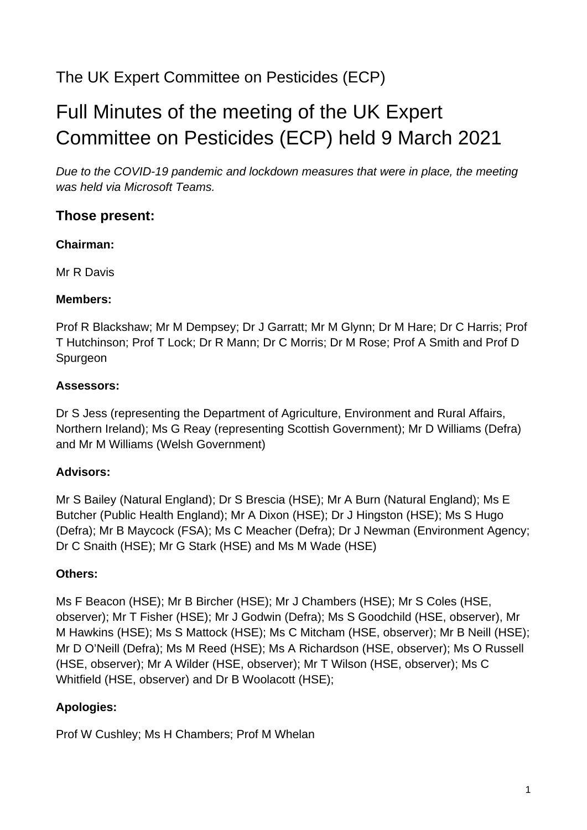# The UK Expert Committee on Pesticides (ECP)

# Full Minutes of the meeting of the UK Expert Committee on Pesticides (ECP) held 9 March 2021

*Due to the COVID-19 pandemic and lockdown measures that were in place, the meeting was held via Microsoft Teams.*

## **Those present:**

#### **Chairman:**

Mr R Davis

#### **Members:**

Prof R Blackshaw; Mr M Dempsey; Dr J Garratt; Mr M Glynn; Dr M Hare; Dr C Harris; Prof T Hutchinson; Prof T Lock; Dr R Mann; Dr C Morris; Dr M Rose; Prof A Smith and Prof D Spurgeon

#### **Assessors:**

Dr S Jess (representing the Department of Agriculture, Environment and Rural Affairs, Northern Ireland); Ms G Reay (representing Scottish Government); Mr D Williams (Defra) and Mr M Williams (Welsh Government)

#### **Advisors:**

Mr S Bailey (Natural England); Dr S Brescia (HSE); Mr A Burn (Natural England); Ms E Butcher (Public Health England); Mr A Dixon (HSE); Dr J Hingston (HSE); Ms S Hugo (Defra); Mr B Maycock (FSA); Ms C Meacher (Defra); Dr J Newman (Environment Agency; Dr C Snaith (HSE); Mr G Stark (HSE) and Ms M Wade (HSE)

#### **Others:**

Ms F Beacon (HSE); Mr B Bircher (HSE); Mr J Chambers (HSE); Mr S Coles (HSE, observer); Mr T Fisher (HSE); Mr J Godwin (Defra); Ms S Goodchild (HSE, observer), Mr M Hawkins (HSE); Ms S Mattock (HSE); Ms C Mitcham (HSE, observer); Mr B Neill (HSE); Mr D O'Neill (Defra); Ms M Reed (HSE); Ms A Richardson (HSE, observer); Ms O Russell (HSE, observer); Mr A Wilder (HSE, observer); Mr T Wilson (HSE, observer); Ms C Whitfield (HSE, observer) and Dr B Woolacott (HSE);

#### **Apologies:**

Prof W Cushley; Ms H Chambers; Prof M Whelan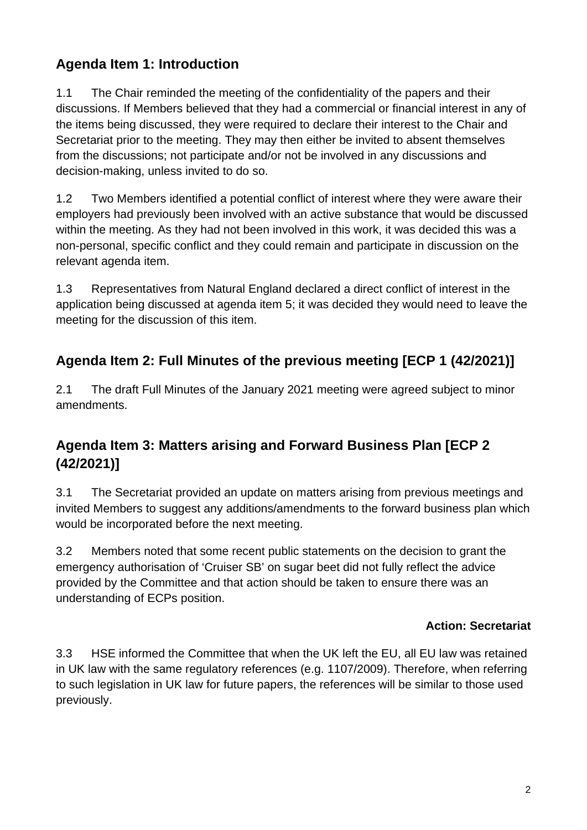# **Agenda Item 1: Introduction**

1.1 The Chair reminded the meeting of the confidentiality of the papers and their discussions. If Members believed that they had a commercial or financial interest in any of the items being discussed, they were required to declare their interest to the Chair and Secretariat prior to the meeting. They may then either be invited to absent themselves from the discussions; not participate and/or not be involved in any discussions and decision-making, unless invited to do so.

1.2 Two Members identified a potential conflict of interest where they were aware their employers had previously been involved with an active substance that would be discussed within the meeting. As they had not been involved in this work, it was decided this was a non-personal, specific conflict and they could remain and participate in discussion on the relevant agenda item.

1.3 Representatives from Natural England declared a direct conflict of interest in the application being discussed at agenda item 5; it was decided they would need to leave the meeting for the discussion of this item.

# **Agenda Item 2: Full Minutes of the previous meeting [ECP 1 (42/2021)]**

2.1 The draft Full Minutes of the January 2021 meeting were agreed subject to minor amendments.

# **Agenda Item 3: Matters arising and Forward Business Plan [ECP 2 (42/2021)]**

3.1 The Secretariat provided an update on matters arising from previous meetings and invited Members to suggest any additions/amendments to the forward business plan which would be incorporated before the next meeting.

3.2 Members noted that some recent public statements on the decision to grant the emergency authorisation of 'Cruiser SB' on sugar beet did not fully reflect the advice provided by the Committee and that action should be taken to ensure there was an understanding of ECPs position.

#### **Action: Secretariat**

3.3 HSE informed the Committee that when the UK left the EU, all EU law was retained in UK law with the same regulatory references (e.g. 1107/2009). Therefore, when referring to such legislation in UK law for future papers, the references will be similar to those used previously.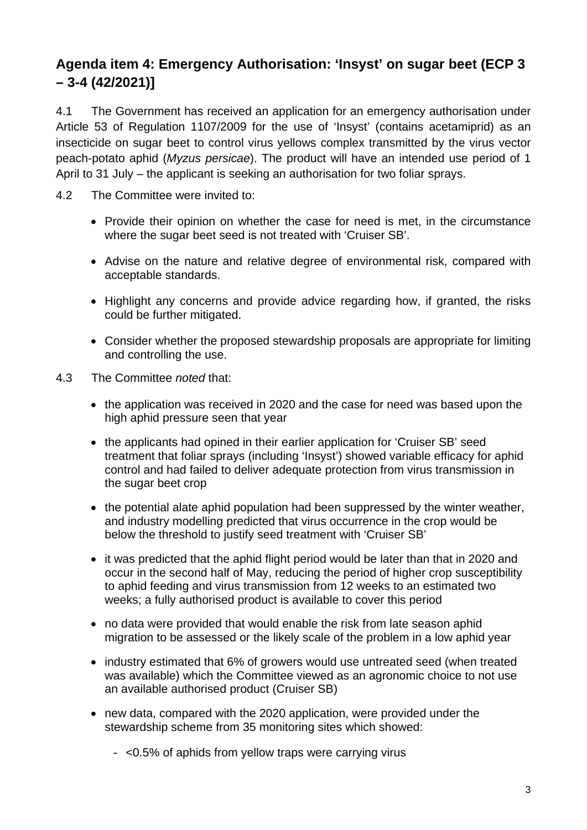# **Agenda item 4: Emergency Authorisation: 'Insyst' on sugar beet (ECP 3 – 3-4 (42/2021)]**

4.1 The Government has received an application for an emergency authorisation under Article 53 of Regulation 1107/2009 for the use of 'Insyst' (contains acetamiprid) as an insecticide on sugar beet to control virus yellows complex transmitted by the virus vector peach-potato aphid (*Myzus persicae*). The product will have an intended use period of 1 April to 31 July – the applicant is seeking an authorisation for two foliar sprays.

- 4.2 The Committee were invited to:
	- Provide their opinion on whether the case for need is met, in the circumstance where the sugar beet seed is not treated with 'Cruiser SB'.
	- Advise on the nature and relative degree of environmental risk, compared with acceptable standards.
	- Highlight any concerns and provide advice regarding how, if granted, the risks could be further mitigated.
	- Consider whether the proposed stewardship proposals are appropriate for limiting and controlling the use.
- 4.3 The Committee *noted* that:
	- the application was received in 2020 and the case for need was based upon the high aphid pressure seen that year
	- the applicants had opined in their earlier application for 'Cruiser SB' seed treatment that foliar sprays (including 'Insyst') showed variable efficacy for aphid control and had failed to deliver adequate protection from virus transmission in the sugar beet crop
	- the potential alate aphid population had been suppressed by the winter weather, and industry modelling predicted that virus occurrence in the crop would be below the threshold to justify seed treatment with 'Cruiser SB'
	- it was predicted that the aphid flight period would be later than that in 2020 and occur in the second half of May, reducing the period of higher crop susceptibility to aphid feeding and virus transmission from 12 weeks to an estimated two weeks; a fully authorised product is available to cover this period
	- no data were provided that would enable the risk from late season aphid migration to be assessed or the likely scale of the problem in a low aphid year
	- industry estimated that 6% of growers would use untreated seed (when treated was available) which the Committee viewed as an agronomic choice to not use an available authorised product (Cruiser SB)
	- new data, compared with the 2020 application, were provided under the stewardship scheme from 35 monitoring sites which showed:
		- $-$  <0.5% of aphids from yellow traps were carrying virus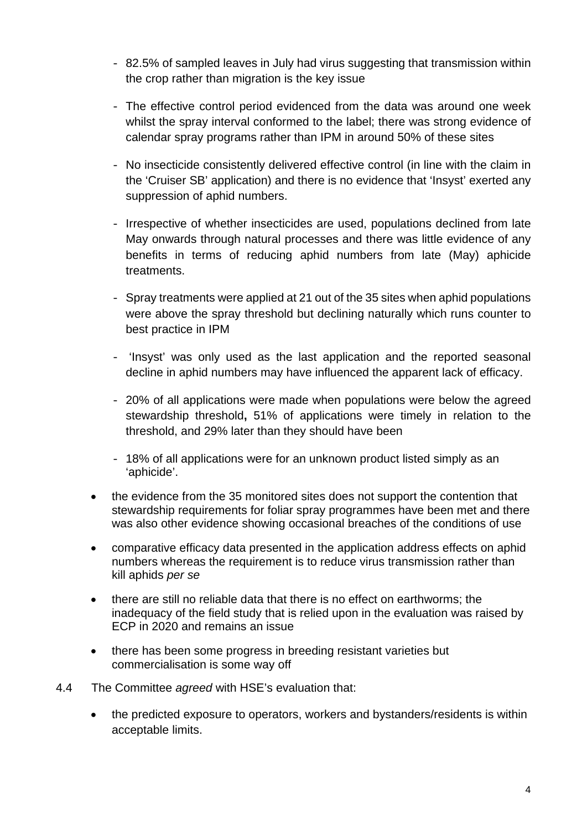- 82.5% of sampled leaves in July had virus suggesting that transmission within the crop rather than migration is the key issue
- The effective control period evidenced from the data was around one week whilst the spray interval conformed to the label; there was strong evidence of calendar spray programs rather than IPM in around 50% of these sites
- No insecticide consistently delivered effective control (in line with the claim in the 'Cruiser SB' application) and there is no evidence that 'Insyst' exerted any suppression of aphid numbers.
- Irrespective of whether insecticides are used, populations declined from late May onwards through natural processes and there was little evidence of any benefits in terms of reducing aphid numbers from late (May) aphicide treatments.
- Spray treatments were applied at 21 out of the 35 sites when aphid populations were above the spray threshold but declining naturally which runs counter to best practice in IPM
- 'Insyst' was only used as the last application and the reported seasonal decline in aphid numbers may have influenced the apparent lack of efficacy.
- 20% of all applications were made when populations were below the agreed stewardship threshold**,** 51% of applications were timely in relation to the threshold, and 29% later than they should have been
- 18% of all applications were for an unknown product listed simply as an 'aphicide'.
- the evidence from the 35 monitored sites does not support the contention that stewardship requirements for foliar spray programmes have been met and there was also other evidence showing occasional breaches of the conditions of use
- comparative efficacy data presented in the application address effects on aphid numbers whereas the requirement is to reduce virus transmission rather than kill aphids *per se*
- there are still no reliable data that there is no effect on earthworms; the inadequacy of the field study that is relied upon in the evaluation was raised by ECP in 2020 and remains an issue
- there has been some progress in breeding resistant varieties but commercialisation is some way off
- 4.4 The Committee *agreed* with HSE's evaluation that:
	- the predicted exposure to operators, workers and bystanders/residents is within acceptable limits.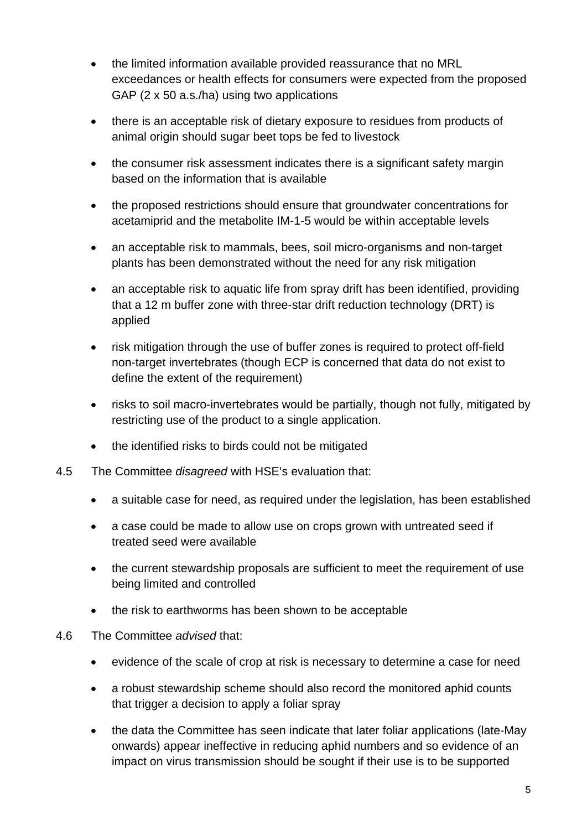- the limited information available provided reassurance that no MRL exceedances or health effects for consumers were expected from the proposed GAP (2 x 50 a.s./ha) using two applications
- there is an acceptable risk of dietary exposure to residues from products of animal origin should sugar beet tops be fed to livestock
- the consumer risk assessment indicates there is a significant safety margin based on the information that is available
- the proposed restrictions should ensure that groundwater concentrations for acetamiprid and the metabolite IM-1-5 would be within acceptable levels
- an acceptable risk to mammals, bees, soil micro-organisms and non-target plants has been demonstrated without the need for any risk mitigation
- an acceptable risk to aquatic life from spray drift has been identified, providing that a 12 m buffer zone with three-star drift reduction technology (DRT) is applied
- risk mitigation through the use of buffer zones is required to protect off-field non-target invertebrates (though ECP is concerned that data do not exist to define the extent of the requirement)
- risks to soil macro-invertebrates would be partially, though not fully, mitigated by restricting use of the product to a single application.
- the identified risks to birds could not be mitigated
- 4.5 The Committee *disagreed* with HSE's evaluation that:
	- a suitable case for need, as required under the legislation, has been established
	- a case could be made to allow use on crops grown with untreated seed if treated seed were available
	- the current stewardship proposals are sufficient to meet the requirement of use being limited and controlled
	- the risk to earthworms has been shown to be acceptable
- 4.6 The Committee *advised* that:
	- evidence of the scale of crop at risk is necessary to determine a case for need
	- a robust stewardship scheme should also record the monitored aphid counts that trigger a decision to apply a foliar spray
	- the data the Committee has seen indicate that later foliar applications (late-May onwards) appear ineffective in reducing aphid numbers and so evidence of an impact on virus transmission should be sought if their use is to be supported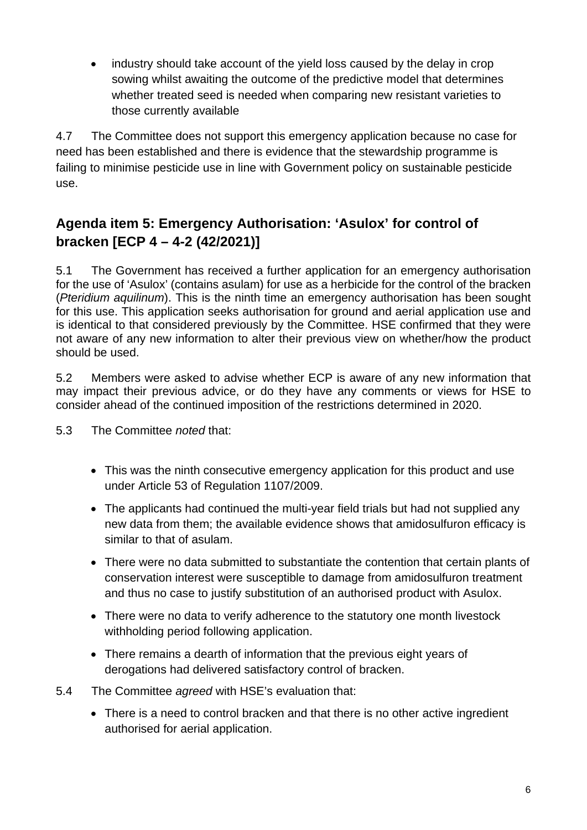industry should take account of the yield loss caused by the delay in crop sowing whilst awaiting the outcome of the predictive model that determines whether treated seed is needed when comparing new resistant varieties to those currently available

4.7 The Committee does not support this emergency application because no case for need has been established and there is evidence that the stewardship programme is failing to minimise pesticide use in line with Government policy on sustainable pesticide use.

# **Agenda item 5: Emergency Authorisation: 'Asulox' for control of bracken [ECP 4 – 4-2 (42/2021)]**

5.1 The Government has received a further application for an emergency authorisation for the use of 'Asulox' (contains asulam) for use as a herbicide for the control of the bracken (*Pteridium aquilinum*). This is the ninth time an emergency authorisation has been sought for this use. This application seeks authorisation for ground and aerial application use and is identical to that considered previously by the Committee. HSE confirmed that they were not aware of any new information to alter their previous view on whether/how the product should be used.

5.2 Members were asked to advise whether ECP is aware of any new information that may impact their previous advice, or do they have any comments or views for HSE to consider ahead of the continued imposition of the restrictions determined in 2020.

5.3 The Committee *noted* that:

- This was the ninth consecutive emergency application for this product and use under Article 53 of Regulation 1107/2009.
- The applicants had continued the multi-year field trials but had not supplied any new data from them; the available evidence shows that amidosulfuron efficacy is similar to that of asulam.
- There were no data submitted to substantiate the contention that certain plants of conservation interest were susceptible to damage from amidosulfuron treatment and thus no case to justify substitution of an authorised product with Asulox.
- There were no data to verify adherence to the statutory one month livestock withholding period following application.
- There remains a dearth of information that the previous eight years of derogations had delivered satisfactory control of bracken.
- 5.4 The Committee *agreed* with HSE's evaluation that:
	- There is a need to control bracken and that there is no other active ingredient authorised for aerial application.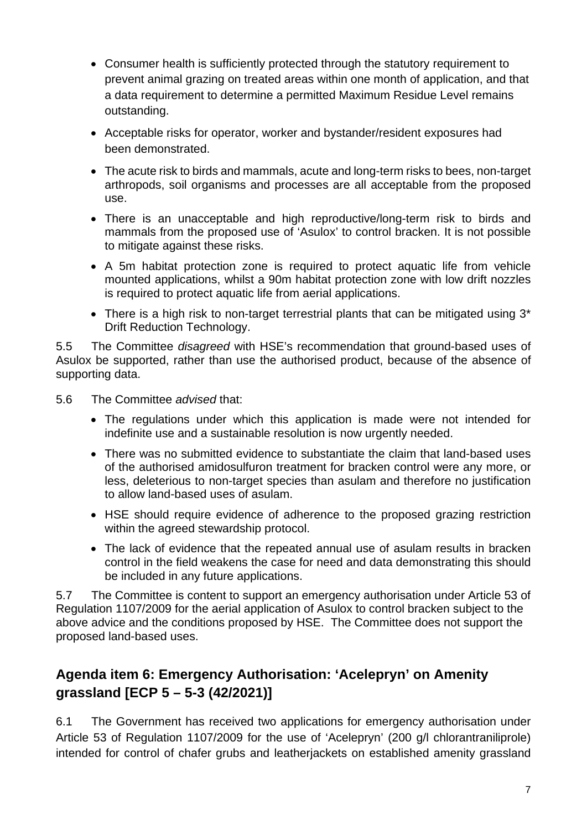- Consumer health is sufficiently protected through the statutory requirement to prevent animal grazing on treated areas within one month of application, and that a data requirement to determine a permitted Maximum Residue Level remains outstanding.
- Acceptable risks for operator, worker and bystander/resident exposures had been demonstrated.
- The acute risk to birds and mammals, acute and long-term risks to bees, non-target arthropods, soil organisms and processes are all acceptable from the proposed use.
- There is an unacceptable and high reproductive/long-term risk to birds and mammals from the proposed use of 'Asulox' to control bracken. It is not possible to mitigate against these risks.
- A 5m habitat protection zone is required to protect aquatic life from vehicle mounted applications, whilst a 90m habitat protection zone with low drift nozzles is required to protect aquatic life from aerial applications.
- There is a high risk to non-target terrestrial plants that can be mitigated using 3<sup>\*</sup> Drift Reduction Technology.

5.5 The Committee *disagreed* with HSE's recommendation that ground-based uses of Asulox be supported, rather than use the authorised product, because of the absence of supporting data.

- 5.6 The Committee *advised* that:
	- The regulations under which this application is made were not intended for indefinite use and a sustainable resolution is now urgently needed.
	- There was no submitted evidence to substantiate the claim that land-based uses of the authorised amidosulfuron treatment for bracken control were any more, or less, deleterious to non-target species than asulam and therefore no justification to allow land-based uses of asulam.
	- HSE should require evidence of adherence to the proposed grazing restriction within the agreed stewardship protocol.
	- The lack of evidence that the repeated annual use of asulam results in bracken control in the field weakens the case for need and data demonstrating this should be included in any future applications.

5.7 The Committee is content to support an emergency authorisation under Article 53 of Regulation 1107/2009 for the aerial application of Asulox to control bracken subject to the above advice and the conditions proposed by HSE. The Committee does not support the proposed land-based uses.

## **Agenda item 6: Emergency Authorisation: 'Acelepryn' on Amenity grassland [ECP 5 – 5-3 (42/2021)]**

6.1 The Government has received two applications for emergency authorisation under Article 53 of Regulation 1107/2009 for the use of 'Acelepryn' (200 g/l chlorantraniliprole) intended for control of chafer grubs and leatherjackets on established amenity grassland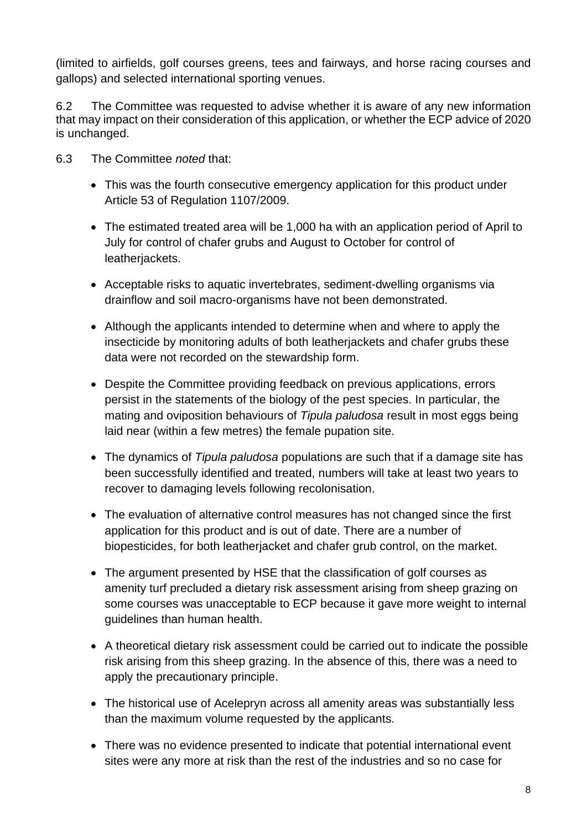(limited to airfields, golf courses greens, tees and fairways, and horse racing courses and gallops) and selected international sporting venues.

6.2 The Committee was requested to advise whether it is aware of any new information that may impact on their consideration of this application, or whether the ECP advice of 2020 is unchanged.

- 6.3 The Committee *noted* that:
	- This was the fourth consecutive emergency application for this product under Article 53 of Regulation 1107/2009.
	- The estimated treated area will be 1,000 ha with an application period of April to July for control of chafer grubs and August to October for control of leatherjackets.
	- Acceptable risks to aquatic invertebrates, sediment-dwelling organisms via drainflow and soil macro-organisms have not been demonstrated.
	- Although the applicants intended to determine when and where to apply the insecticide by monitoring adults of both leatherjackets and chafer grubs these data were not recorded on the stewardship form.
	- Despite the Committee providing feedback on previous applications, errors persist in the statements of the biology of the pest species. In particular, the mating and oviposition behaviours of *Tipula paludosa* result in most eggs being laid near (within a few metres) the female pupation site.
	- The dynamics of *Tipula paludosa* populations are such that if a damage site has been successfully identified and treated, numbers will take at least two years to recover to damaging levels following recolonisation.
	- The evaluation of alternative control measures has not changed since the first application for this product and is out of date. There are a number of biopesticides, for both leatherjacket and chafer grub control, on the market.
	- The argument presented by HSE that the classification of golf courses as amenity turf precluded a dietary risk assessment arising from sheep grazing on some courses was unacceptable to ECP because it gave more weight to internal guidelines than human health.
	- A theoretical dietary risk assessment could be carried out to indicate the possible risk arising from this sheep grazing. In the absence of this, there was a need to apply the precautionary principle.
	- The historical use of Acelepryn across all amenity areas was substantially less than the maximum volume requested by the applicants.
	- There was no evidence presented to indicate that potential international event sites were any more at risk than the rest of the industries and so no case for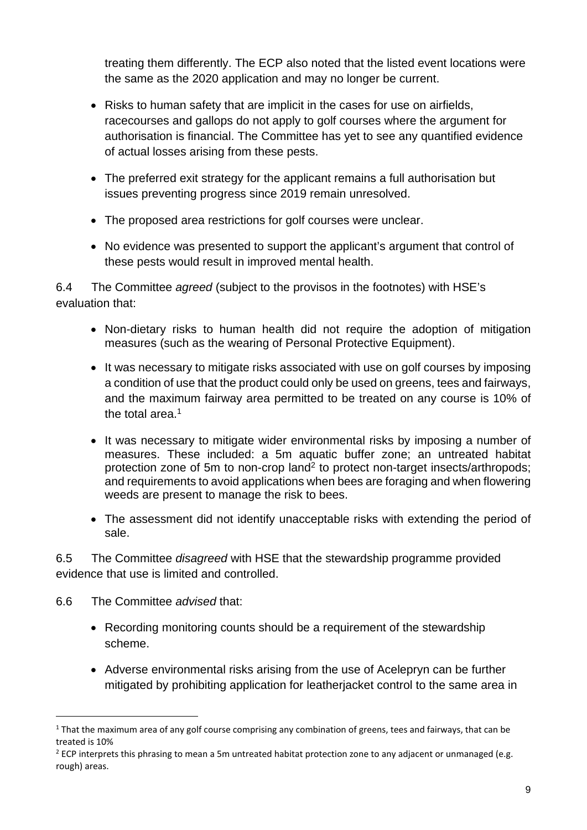treating them differently. The ECP also noted that the listed event locations were the same as the 2020 application and may no longer be current.

- Risks to human safety that are implicit in the cases for use on airfields, racecourses and gallops do not apply to golf courses where the argument for authorisation is financial. The Committee has yet to see any quantified evidence of actual losses arising from these pests.
- The preferred exit strategy for the applicant remains a full authorisation but issues preventing progress since 2019 remain unresolved.
- The proposed area restrictions for golf courses were unclear.
- No evidence was presented to support the applicant's argument that control of these pests would result in improved mental health.

6.4 The Committee *agreed* (subject to the provisos in the footnotes) with HSE's evaluation that:

- Non-dietary risks to human health did not require the adoption of mitigation measures (such as the wearing of Personal Protective Equipment).
- It was necessary to mitigate risks associated with use on golf courses by imposing a condition of use that the product could only be used on greens, tees and fairways, and the maximum fairway area permitted to be treated on any course is 10% of the total area. 1
- It was necessary to mitigate wider environmental risks by imposing a number of measures. These included: a 5m aquatic buffer zone; an untreated habitat protection zone of 5m to non-crop land<sup>2</sup> to protect non-target insects/arthropods; and requirements to avoid applications when bees are foraging and when flowering weeds are present to manage the risk to bees.
- The assessment did not identify unacceptable risks with extending the period of sale.

6.5 The Committee *disagreed* with HSE that the stewardship programme provided evidence that use is limited and controlled.

- 6.6 The Committee *advised* that:
	- Recording monitoring counts should be a requirement of the stewardship scheme.
	- Adverse environmental risks arising from the use of Acelepryn can be further mitigated by prohibiting application for leatherjacket control to the same area in

 $1$  That the maximum area of any golf course comprising any combination of greens, tees and fairways, that can be treated is 10%

 $^2$  ECP interprets this phrasing to mean a 5m untreated habitat protection zone to any adiacent or unmanaged (e.g. rough) areas.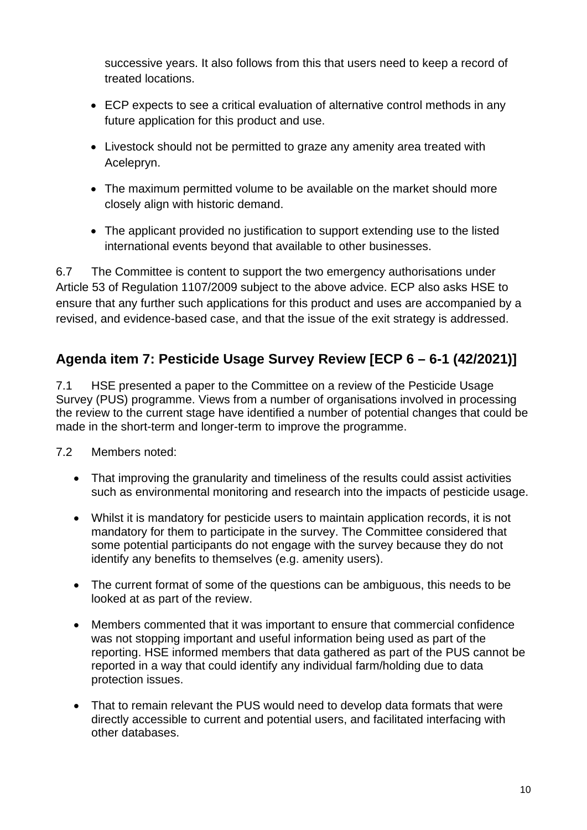successive years. It also follows from this that users need to keep a record of treated locations.

- ECP expects to see a critical evaluation of alternative control methods in any future application for this product and use.
- Livestock should not be permitted to graze any amenity area treated with Acelepryn.
- The maximum permitted volume to be available on the market should more closely align with historic demand.
- The applicant provided no justification to support extending use to the listed international events beyond that available to other businesses.

6.7 The Committee is content to support the two emergency authorisations under Article 53 of Regulation 1107/2009 subject to the above advice. ECP also asks HSE to ensure that any further such applications for this product and uses are accompanied by a revised, and evidence-based case, and that the issue of the exit strategy is addressed.

# **Agenda item 7: Pesticide Usage Survey Review [ECP 6 – 6-1 (42/2021)]**

7.1 HSE presented a paper to the Committee on a review of the Pesticide Usage Survey (PUS) programme. Views from a number of organisations involved in processing the review to the current stage have identified a number of potential changes that could be made in the short-term and longer-term to improve the programme.

- 7.2 Members noted:
	- That improving the granularity and timeliness of the results could assist activities such as environmental monitoring and research into the impacts of pesticide usage.
	- Whilst it is mandatory for pesticide users to maintain application records, it is not mandatory for them to participate in the survey. The Committee considered that some potential participants do not engage with the survey because they do not identify any benefits to themselves (e.g. amenity users).
	- The current format of some of the questions can be ambiguous, this needs to be looked at as part of the review.
	- Members commented that it was important to ensure that commercial confidence was not stopping important and useful information being used as part of the reporting. HSE informed members that data gathered as part of the PUS cannot be reported in a way that could identify any individual farm/holding due to data protection issues.
	- That to remain relevant the PUS would need to develop data formats that were directly accessible to current and potential users, and facilitated interfacing with other databases.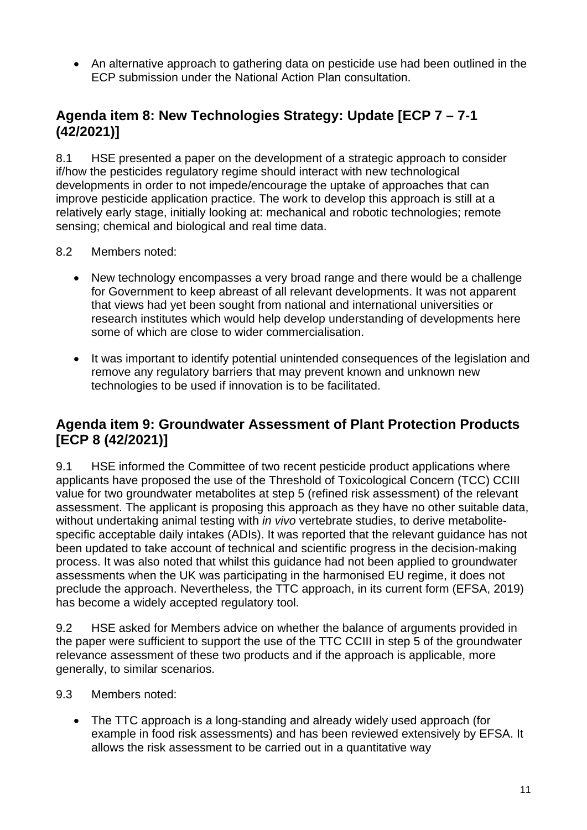• An alternative approach to gathering data on pesticide use had been outlined in the ECP submission under the National Action Plan consultation.

## **Agenda item 8: New Technologies Strategy: Update [ECP 7 – 7-1 (42/2021)]**

8.1 HSE presented a paper on the development of a strategic approach to consider if/how the pesticides regulatory regime should interact with new technological developments in order to not impede/encourage the uptake of approaches that can improve pesticide application practice. The work to develop this approach is still at a relatively early stage, initially looking at: mechanical and robotic technologies; remote sensing; chemical and biological and real time data.

- 8.2 Members noted:
	- New technology encompasses a very broad range and there would be a challenge for Government to keep abreast of all relevant developments. It was not apparent that views had yet been sought from national and international universities or research institutes which would help develop understanding of developments here some of which are close to wider commercialisation.
	- It was important to identify potential unintended consequences of the legislation and remove any regulatory barriers that may prevent known and unknown new technologies to be used if innovation is to be facilitated.

## **Agenda item 9: Groundwater Assessment of Plant Protection Products [ECP 8 (42/2021)]**

9.1 HSE informed the Committee of two recent pesticide product applications where applicants have proposed the use of the Threshold of Toxicological Concern (TCC) CCIII value for two groundwater metabolites at step 5 (refined risk assessment) of the relevant assessment. The applicant is proposing this approach as they have no other suitable data, without undertaking animal testing with *in vivo* vertebrate studies, to derive metabolitespecific acceptable daily intakes (ADIs). It was reported that the relevant guidance has not been updated to take account of technical and scientific progress in the decision-making process. It was also noted that whilst this guidance had not been applied to groundwater assessments when the UK was participating in the harmonised EU regime, it does not preclude the approach. Nevertheless, the TTC approach, in its current form (EFSA, 2019) has become a widely accepted regulatory tool.

9.2 HSE asked for Members advice on whether the balance of arguments provided in the paper were sufficient to support the use of the TTC CCIII in step 5 of the groundwater relevance assessment of these two products and if the approach is applicable, more generally, to similar scenarios.

- 9.3 Members noted:
	- The TTC approach is a long-standing and already widely used approach (for example in food risk assessments) and has been reviewed extensively by EFSA. It allows the risk assessment to be carried out in a quantitative way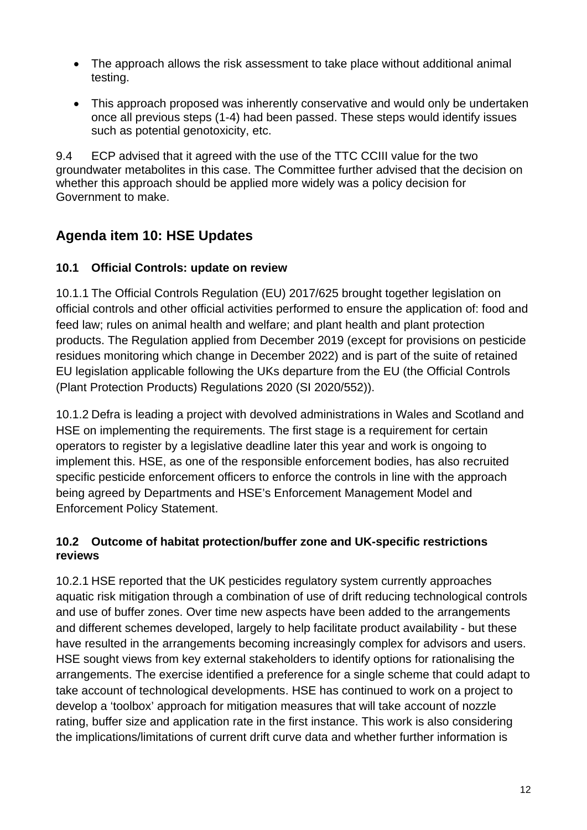- The approach allows the risk assessment to take place without additional animal testing.
- This approach proposed was inherently conservative and would only be undertaken once all previous steps (1-4) had been passed. These steps would identify issues such as potential genotoxicity, etc.

9.4 ECP advised that it agreed with the use of the TTC CCIII value for the two groundwater metabolites in this case. The Committee further advised that the decision on whether this approach should be applied more widely was a policy decision for Government to make.

# **Agenda item 10: HSE Updates**

#### **10.1 Official Controls: update on review**

10.1.1 The Official Controls Regulation (EU) 2017/625 brought together legislation on official controls and other official activities performed to ensure the application of: food and feed law; rules on animal health and welfare; and plant health and plant protection products. The Regulation applied from December 2019 (except for provisions on pesticide residues monitoring which change in December 2022) and is part of the suite of retained EU legislation applicable following the UKs departure from the EU (the Official Controls (Plant Protection Products) Regulations 2020 (SI 2020/552)).

10.1.2 Defra is leading a project with devolved administrations in Wales and Scotland and HSE on implementing the requirements. The first stage is a requirement for certain operators to register by a legislative deadline later this year and work is ongoing to implement this. HSE, as one of the responsible enforcement bodies, has also recruited specific pesticide enforcement officers to enforce the controls in line with the approach being agreed by Departments and HSE's Enforcement Management Model and Enforcement Policy Statement.

#### **10.2 Outcome of habitat protection/buffer zone and UK-specific restrictions reviews**

10.2.1 HSE reported that the UK pesticides regulatory system currently approaches aquatic risk mitigation through a combination of use of drift reducing technological controls and use of buffer zones. Over time new aspects have been added to the arrangements and different schemes developed, largely to help facilitate product availability - but these have resulted in the arrangements becoming increasingly complex for advisors and users. HSE sought views from key external stakeholders to identify options for rationalising the arrangements. The exercise identified a preference for a single scheme that could adapt to take account of technological developments. HSE has continued to work on a project to develop a 'toolbox' approach for mitigation measures that will take account of nozzle rating, buffer size and application rate in the first instance. This work is also considering the implications/limitations of current drift curve data and whether further information is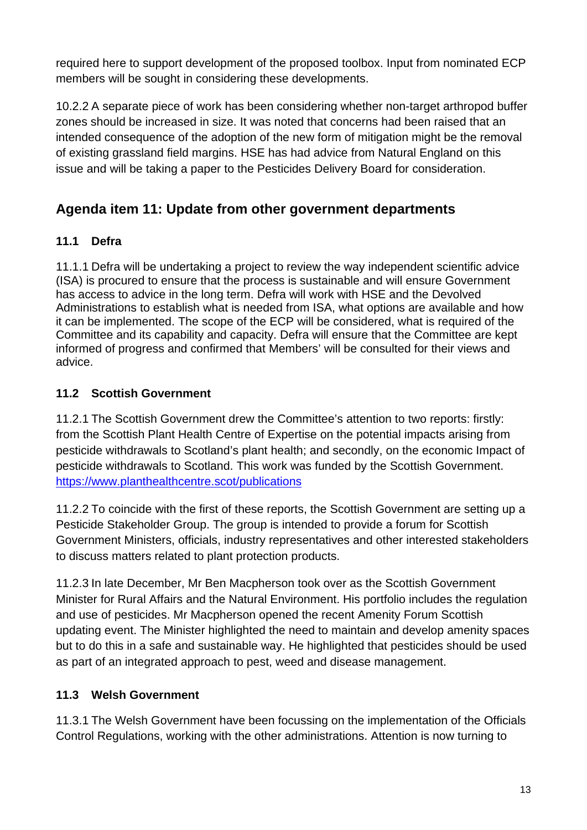required here to support development of the proposed toolbox. Input from nominated ECP members will be sought in considering these developments.

10.2.2 A separate piece of work has been considering whether non-target arthropod buffer zones should be increased in size. It was noted that concerns had been raised that an intended consequence of the adoption of the new form of mitigation might be the removal of existing grassland field margins. HSE has had advice from Natural England on this issue and will be taking a paper to the Pesticides Delivery Board for consideration.

# **Agenda item 11: Update from other government departments**

## **11.1 Defra**

11.1.1 Defra will be undertaking a project to review the way independent scientific advice (ISA) is procured to ensure that the process is sustainable and will ensure Government has access to advice in the long term. Defra will work with HSE and the Devolved Administrations to establish what is needed from ISA, what options are available and how it can be implemented. The scope of the ECP will be considered, what is required of the Committee and its capability and capacity. Defra will ensure that the Committee are kept informed of progress and confirmed that Members' will be consulted for their views and advice.

## **11.2 Scottish Government**

11.2.1 The Scottish Government drew the Committee's attention to two reports: firstly: from the Scottish Plant Health Centre of Expertise on the potential impacts arising from pesticide withdrawals to Scotland's plant health; and secondly, on the economic Impact of pesticide withdrawals to Scotland. This work was funded by the Scottish Government. [https://www.planthealthcentre.scot/publications](https://eur03.safelinks.protection.outlook.com/?url=https%3A%2F%2Fwww.planthealthcentre.scot%2Fpublications&data=04%7C01%7C%7C9f79e68603644530b97208d8e315f743%7C6b5953be6b1d4980b26b56ed8b0bf3dc%7C0%7C0%7C637509030780338079%7CUnknown%7CTWFpbGZsb3d8eyJWIjoiMC4wLjAwMDAiLCJQIjoiV2luMzIiLCJBTiI6Ik1haWwiLCJXVCI6Mn0%3D%7C1000&sdata=giDm5plgyo86lFqIuz9Q2EiNTExUHH9oOw6ZBYZZgrg%3D&reserved=0)

11.2.2 To coincide with the first of these reports, the Scottish Government are setting up a Pesticide Stakeholder Group. The group is intended to provide a forum for Scottish Government Ministers, officials, industry representatives and other interested stakeholders to discuss matters related to plant protection products.

11.2.3 In late December, Mr Ben Macpherson took over as the Scottish Government Minister for Rural Affairs and the Natural Environment. His portfolio includes the regulation and use of pesticides. Mr Macpherson opened the recent Amenity Forum Scottish updating event. The Minister highlighted the need to maintain and develop amenity spaces but to do this in a safe and sustainable way. He highlighted that pesticides should be used as part of an integrated approach to pest, weed and disease management.

## **11.3 Welsh Government**

11.3.1 The Welsh Government have been focussing on the implementation of the Officials Control Regulations, working with the other administrations. Attention is now turning to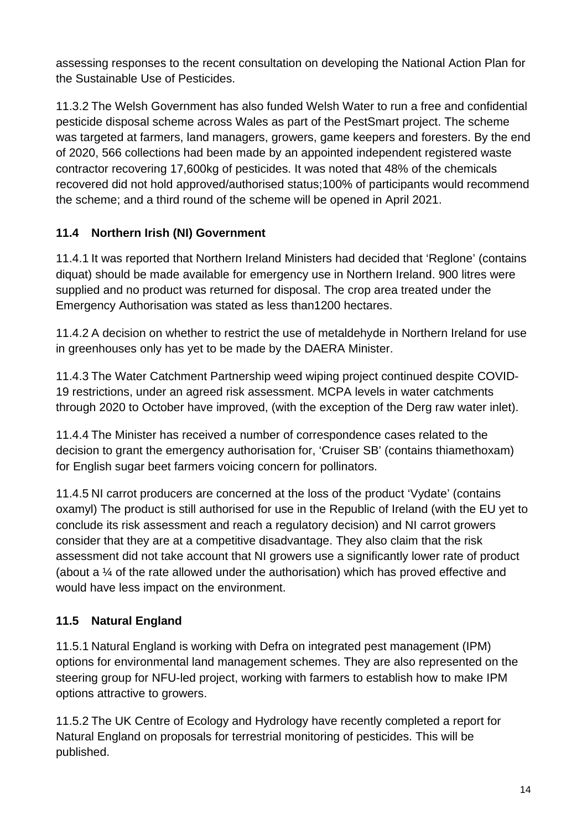assessing responses to the recent consultation on developing the National Action Plan for the Sustainable Use of Pesticides.

11.3.2 The Welsh Government has also funded Welsh Water to run a free and confidential pesticide disposal scheme across Wales as part of the PestSmart project. The scheme was targeted at farmers, land managers, growers, game keepers and foresters. By the end of 2020, 566 collections had been made by an appointed independent registered waste contractor recovering 17,600kg of pesticides. It was noted that 48% of the chemicals recovered did not hold approved/authorised status;100% of participants would recommend the scheme; and a third round of the scheme will be opened in April 2021.

## **11.4 Northern Irish (NI) Government**

11.4.1 It was reported that Northern Ireland Ministers had decided that 'Reglone' (contains diquat) should be made available for emergency use in Northern Ireland. 900 litres were supplied and no product was returned for disposal. The crop area treated under the Emergency Authorisation was stated as less than1200 hectares.

11.4.2 A decision on whether to restrict the use of metaldehyde in Northern Ireland for use in greenhouses only has yet to be made by the DAERA Minister.

11.4.3 The Water Catchment Partnership weed wiping project continued despite COVID-19 restrictions, under an agreed risk assessment. MCPA levels in water catchments through 2020 to October have improved, (with the exception of the Derg raw water inlet).

11.4.4 The Minister has received a number of correspondence cases related to the decision to grant the emergency authorisation for, 'Cruiser SB' (contains thiamethoxam) for English sugar beet farmers voicing concern for pollinators.

11.4.5 NI carrot producers are concerned at the loss of the product 'Vydate' (contains oxamyl) The product is still authorised for use in the Republic of Ireland (with the EU yet to conclude its risk assessment and reach a regulatory decision) and NI carrot growers consider that they are at a competitive disadvantage. They also claim that the risk assessment did not take account that NI growers use a significantly lower rate of product (about a ¼ of the rate allowed under the authorisation) which has proved effective and would have less impact on the environment.

## **11.5 Natural England**

11.5.1 Natural England is working with Defra on integrated pest management (IPM) options for environmental land management schemes. They are also represented on the steering group for NFU-led project, working with farmers to establish how to make IPM options attractive to growers.

11.5.2 The UK Centre of Ecology and Hydrology have recently completed a report for Natural England on proposals for terrestrial monitoring of pesticides. This will be published.